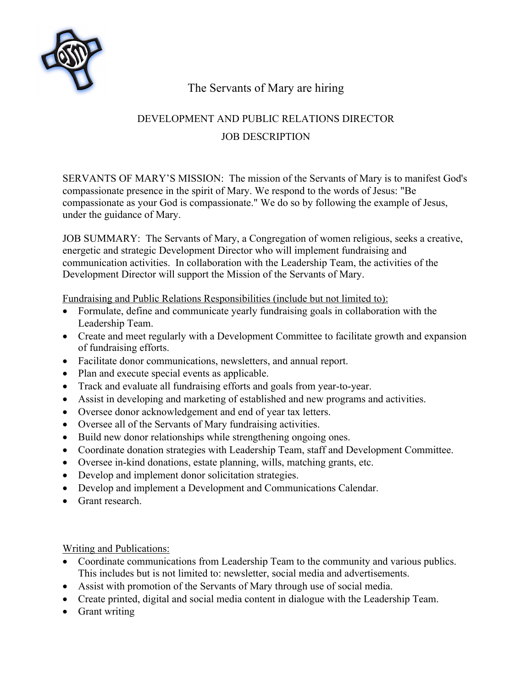

## The Servants of Mary are hiring

## DEVELOPMENT AND PUBLIC RELATIONS DIRECTOR JOB DESCRIPTION

SERVANTS OF MARY'S MISSION: The mission of the Servants of Mary is to manifest God's compassionate presence in the spirit of Mary. We respond to the words of Jesus: "Be compassionate as your God is compassionate." We do so by following the example of Jesus, under the guidance of Mary.

JOB SUMMARY: The Servants of Mary, a Congregation of women religious, seeks a creative, energetic and strategic Development Director who will implement fundraising and communication activities. In collaboration with the Leadership Team, the activities of the Development Director will support the Mission of the Servants of Mary.

Fundraising and Public Relations Responsibilities (include but not limited to):

- Formulate, define and communicate yearly fundraising goals in collaboration with the Leadership Team.
- Create and meet regularly with a Development Committee to facilitate growth and expansion of fundraising efforts.
- Facilitate donor communications, newsletters, and annual report.
- Plan and execute special events as applicable.
- Track and evaluate all fundraising efforts and goals from year-to-year.
- Assist in developing and marketing of established and new programs and activities.
- Oversee donor acknowledgement and end of year tax letters.
- Oversee all of the Servants of Mary fundraising activities.
- Build new donor relationships while strengthening ongoing ones.
- Coordinate donation strategies with Leadership Team, staff and Development Committee.
- Oversee in-kind donations, estate planning, wills, matching grants, etc.
- Develop and implement donor solicitation strategies.
- Develop and implement a Development and Communications Calendar.
- Grant research.

Writing and Publications:

- Coordinate communications from Leadership Team to the community and various publics. This includes but is not limited to: newsletter, social media and advertisements.
- Assist with promotion of the Servants of Mary through use of social media.
- Create printed, digital and social media content in dialogue with the Leadership Team.
- Grant writing